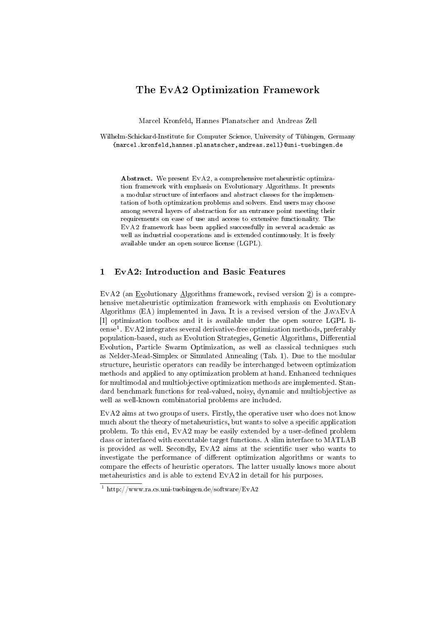# The EvA2 Optimization Framework

Marcel Kronfeld, Hannes Planatscher and Andreas Zell

Wilhelm-Schickard-Institute for Computer Science, University of Tübingen, Germany {marcel.kronfeld,hannes.planatscher,andreas.zell}@uni-tuebingen.de

Abstract. We present EvA2, a comprehensive metaheuristic optimization framework with emphasis on Evolutionary Algorithms. It presents a modular structure of interfaces and abstract classes for the implementation of both optimization problems and solvers. End users may choose among several layers of abstraction for an entrance point meeting their requirements on ease of use and access to extensive functionality. The EvA2 framework has been applied successfully in several academic as well as industrial cooperations and is extended continuously. It is freely available under an open source license (LGPL).

## 1 EvA2: Introduction and Basic Features

EvA2 (an Evolutionary Algorithms framework, revised version  $2$ ) is a comprehensive metaheuristic optimization framework with emphasis on Evolutionary Algorithms (EA) implemented in Java. It is a revised version of the JavaEvA [1] optimization toolbox and it is available under the open source LGPL li- $\mathrm{cense}^1$  .  $\mathrm{EvA2}$  integrates several derivative-free optimization methods, preferably population-based, such as Evolution Strategies, Genetic Algorithms, Differential Evolution, Particle Swarm Optimization, as well as classical techniques such as Nelder-Mead-Simplex or Simulated Annealing (Tab. 1). Due to the modular structure, heuristic operators can readily be interchanged between optimization methods and applied to any optimization problem at hand. Enhanced techniques for multimodal and multiobjective optimization methods are implemented. Standard benchmark functions for real-valued, noisy, dynamic and multiobjective as well as well-known combinatorial problems are included.

EvA2 aims at two groups of users. Firstly, the operative user who does not know much about the theory of metaheuristics, but wants to solve a specific application problem. To this end,  $EVA2$  may be easily extended by a user-defined problem class or interfaced with executable target functions. A slim interface to MATLAB is provided as well. Secondly,  $EVA2$  aims at the scientific user who wants to investigate the performance of different optimization algorithms or wants to compare the effects of heuristic operators. The latter usually knows more about metaheuristics and is able to extend EvA2 in detail for his purposes.

<sup>&</sup>lt;sup>1</sup> http://www.ra.cs.uni-tuebingen.de/software/EvA2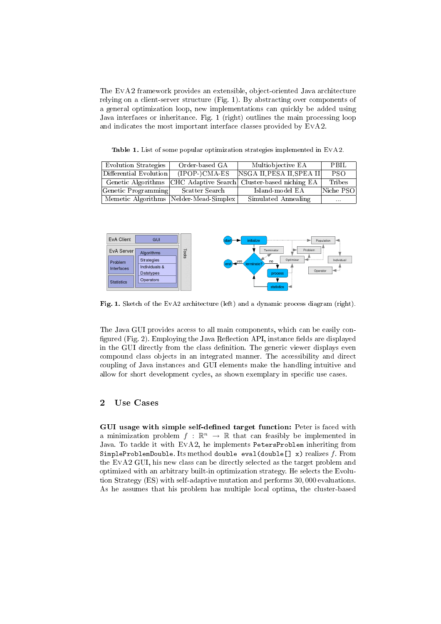The EvA2 framework provides an extensible, object-oriented Java architecture relying on a client-server structure (Fig. 1). By abstracting over components of a general optimization loop, new implementations can quickly be added using Java interfaces or inheritance. Fig. 1 (right) outlines the main processing loop and indicates the most important interface classes provided by EvA2.

Table 1. List of some popular optimization strategies implemented in EvA2.

| Evolution Strategies   | Order-based GA                           | Multiobjective EA                              | PBIL       |
|------------------------|------------------------------------------|------------------------------------------------|------------|
| Differential Evolution | $(IPP) CMA-ES$                           | $NSGA$ II, PESA II, SPEA II                    | <b>PSO</b> |
| Genetic Algorithms     |                                          | [CHC Adaptive Search] Cluster-based niching EA | Tribes     |
| Genetic Programming    | Scatter Search                           | Island-model EA                                | Niche PSO  |
|                        | Memetic Algorithms   Nelder-Mead-Simplex | Simulated Annealing                            | $\cdots$   |



Fig. 1. Sketch of the EvA2 architecture (left) and a dynamic process diagram (right).

The Java GUI provides access to all main components, which can be easily con figured (Fig. 2). Employing the Java Reflection API, instance fields are displayed in the GUI directly from the class definition. The generic viewer displays even compound class objects in an integrated manner. The accessibility and direct coupling of Java instances and GUI elements make the handling intuitive and allow for short development cycles, as shown exemplary in specific use cases.

#### 2 Use Cases

GUI usage with simple self-defined target function: Peter is faced with a minimization problem  $f : \mathbb{R}^n \to \mathbb{R}$  that can feasibly be implemented in Java. To tackle it with EvA2, he implements PetersProblem inheriting from SimpleProblemDouble. Its method double eval(double[] x) realizes  $f$ . From the EvA2 GUI, his new class can be directly selected as the target problem and optimized with an arbitrary built-in optimization strategy. He selects the Evolution Strategy (ES) with self-adaptive mutation and performs 30, 000 evaluations. As he assumes that his problem has multiple local optima, the cluster-based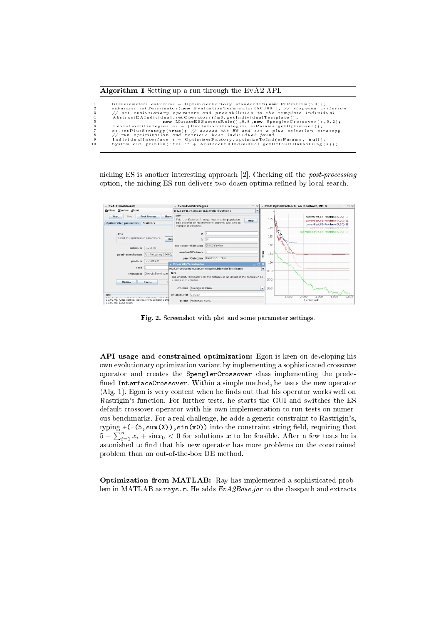

```
1 GOParammeters esParams = OptimizerFactory .standardES(new F6Problem (20));<br>
2 esParams .setTerminator (new Evaluation Terminator (50000)); // stopping criterion<br>
3 // set evolutionary operators and probabilities to the t
```
niching ES is another interesting approach  $[2]$ . Checking off the *post-processing* option, the niching ES run delivers two dozen optima refined by local search.



Fig. 2. Screenshot with plot and some parameter settings.

API usage and constrained optimization: Egon is keen on developing his own evolutionary optimization variant by implementing a sophisticated crossover operator and creates the SpenglerCrossover class implementing the prede fined InterfaceCrossover. Within a simple method, he tests the new operator  $(Alg. 1)$ . Egon is very content when he finds out that his operator works well on Rastrigin's function. For further tests, he starts the GUI and switches the ES default crossover operator with his own implementation to run tests on numerous benchmarks. For a real challenge, he adds a generic constraint to Rastrigin's, typing  $+(- (5, sum(X)), sin(x0))$  into the constraint string field, requiring that typing  $+(-\infty, \text{sum}(\lambda))$ ,  $\text{sin}(\lambda \nu)$  into the constraint string head, requiring that  $5 - \sum_{i=1}^{n} x_i + \text{sin} x_0 < 0$  for solutions  $x$  to be feasible. After a few tests he is astonished to find that his new operator has more problems on the constrained problem than an out-of-the-box DE method.

Optimization from MATLAB: Ray has implemented a sophisticated problem in MATLAB as rays.m. He adds  $EvA2Base$ , jar to the classpath and extracts